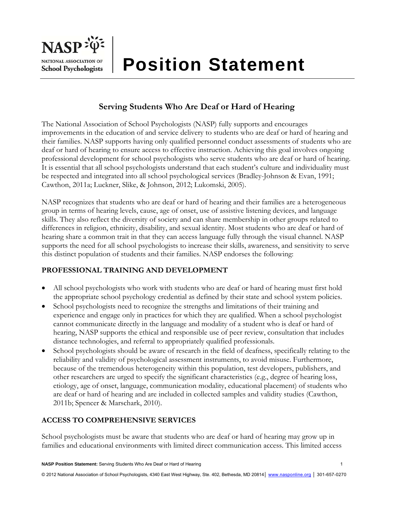

# **Serving Students Who Are Deaf or Hard of Hearing**

The National Association of School Psychologists (NASP) fully supports and encourages improvements in the education of and service delivery to students who are deaf or hard of hearing and their families. NASP supports having only qualified personnel conduct assessments of students who are deaf or hard of hearing to ensure access to effective instruction. Achieving this goal involves ongoing professional development for school psychologists who serve students who are deaf or hard of hearing. It is essential that all school psychologists understand that each student's culture and individuality must be respected and integrated into all school psychological services (Bradley-Johnson & Evan, 1991; Cawthon, 2011a; Luckner, Slike, & Johnson, 2012; Lukomski, 2005).

NASP recognizes that students who are deaf or hard of hearing and their families are a heterogeneous group in terms of hearing levels, cause, age of onset, use of assistive listening devices, and language skills. They also reflect the diversity of society and can share membership in other groups related to differences in religion, ethnicity, disability, and sexual identity. Most students who are deaf or hard of hearing share a common trait in that they can access language fully through the visual channel. NASP supports the need for all school psychologists to increase their skills, awareness, and sensitivity to serve this distinct population of students and their families. NASP endorses the following:

### **PROFESSIONAL TRAINING AND DEVELOPMENT**

- All school psychologists who work with students who are deaf or hard of hearing must first hold the appropriate school psychology credential as defined by their state and school system policies.
- School psychologists need to recognize the strengths and limitations of their training and experience and engage only in practices for which they are qualified. When a school psychologist cannot communicate directly in the language and modality of a student who is deaf or hard of hearing, NASP supports the ethical and responsible use of peer review, consultation that includes distance technologies, and referral to appropriately qualified professionals.
- School psychologists should be aware of research in the field of deafness, specifically relating to the reliability and validity of psychological assessment instruments, to avoid misuse. Furthermore, because of the tremendous heterogeneity within this population, test developers, publishers, and other researchers are urged to specify the significant characteristics (e.g., degree of hearing loss, etiology, age of onset, language, communication modality, educational placement) of students who are deaf or hard of hearing and are included in collected samples and validity studies (Cawthon, 2011b; Spencer & Marschark, 2010).

### **ACCESS TO COMPREHENSIVE SERVICES**

School psychologists must be aware that students who are deaf or hard of hearing may grow up in families and educational environments with limited direct communication access. This limited access

**NASP Position Statement:** Serving Students Who Are Deaf or Hard of Hearing 1

© 2012 National Association of School Psychologists, 4340 East West Highway, Ste. 402, Bethesda, MD 20814 | www.nasponline.org | 301-657-0270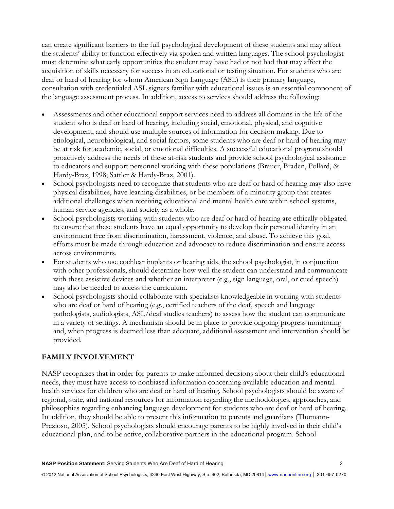can create significant barriers to the full psychological development of these students and may affect the students' ability to function effectively via spoken and written languages. The school psychologist must determine what early opportunities the student may have had or not had that may affect the acquisition of skills necessary for success in an educational or testing situation. For students who are deaf or hard of hearing for whom American Sign Language (ASL) is their primary language, consultation with credentialed ASL signers familiar with educational issues is an essential component of the language assessment process. In addition, access to services should address the following:

- Assessments and other educational support services need to address all domains in the life of the student who is deaf or hard of hearing, including social, emotional, physical, and cognitive development, and should use multiple sources of information for decision making. Due to etiological, neurobiological, and social factors, some students who are deaf or hard of hearing may be at risk for academic, social, or emotional difficulties. A successful educational program should proactively address the needs of these at-risk students and provide school psychological assistance to educators and support personnel working with these populations (Brauer, Braden, Pollard, & Hardy-Braz, 1998; Sattler & Hardy-Braz, 2001).
- School psychologists need to recognize that students who are deaf or hard of hearing may also have physical disabilities, have learning disabilities, or be members of a minority group that creates additional challenges when receiving educational and mental health care within school systems, human service agencies, and society as a whole.
- School psychologists working with students who are deaf or hard of hearing are ethically obligated to ensure that these students have an equal opportunity to develop their personal identity in an environment free from discrimination, harassment, violence, and abuse. To achieve this goal, efforts must be made through education and advocacy to reduce discrimination and ensure access across environments.
- For students who use cochlear implants or hearing aids, the school psychologist, in conjunction with other professionals, should determine how well the student can understand and communicate with these assistive devices and whether an interpreter (e.g., sign language, oral, or cued speech) may also be needed to access the curriculum.
- School psychologists should collaborate with specialists knowledgeable in working with students who are deaf or hard of hearing (e.g., certified teachers of the deaf, speech and language pathologists, audiologists, ASL/deaf studies teachers) to assess how the student can communicate in a variety of settings. A mechanism should be in place to provide ongoing progress monitoring and, when progress is deemed less than adequate, additional assessment and intervention should be provided.

#### **FAMILY INVOLVEMENT**

NASP recognizes that in order for parents to make informed decisions about their child's educational needs, they must have access to nonbiased information concerning available education and mental health services for children who are deaf or hard of hearing. School psychologists should be aware of regional, state, and national resources for information regarding the methodologies, approaches, and philosophies regarding enhancing language development for students who are deaf or hard of hearing. In addition, they should be able to present this information to parents and guardians (Thumann-Prezioso, 2005). School psychologists should encourage parents to be highly involved in their child's educational plan, and to be active, collaborative partners in the educational program. School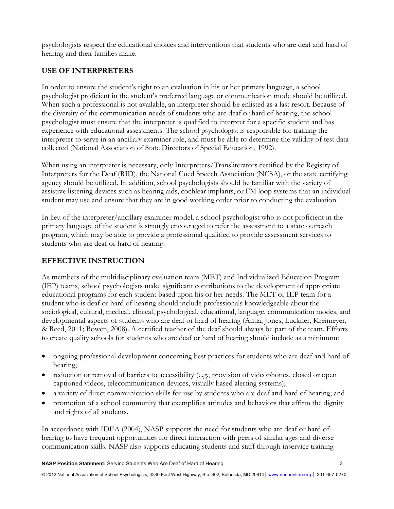psychologists respect the educational choices and interventions that students who are deaf and hard of hearing and their families make.

## **USE OF INTERPRETERS**

In order to ensure the student's right to an evaluation in his or her primary language, a school psychologist proficient in the student's preferred language or communication mode should be utilized. When such a professional is not available, an interpreter should be enlisted as a last resort. Because of the diversity of the communication needs of students who are deaf or hard of hearing, the school psychologist must ensure that the interpreter is qualified to interpret for a specific student and has experience with educational assessments. The school psychologist is responsible for training the interpreter to serve in an ancillary examiner role, and must be able to determine the validity of test data collected (National Association of State Directors of Special Education, 1992).

When using an interpreter is necessary, only Interpreters/Transliterators certified by the Registry of Interpreters for the Deaf (RID), the National Cued Speech Association (NCSA), or the state certifying agency should be utilized. In addition, school psychologists should be familiar with the variety of assistive listening devices such as hearing aids, cochlear implants, or FM loop systems that an individual student may use and ensure that they are in good working order prior to conducting the evaluation.

In lieu of the interpreter/ancillary examiner model, a school psychologist who is not proficient in the primary language of the student is strongly encouraged to refer the assessment to a state outreach program, which may be able to provide a professional qualified to provide assessment services to students who are deaf or hard of hearing.

### **EFFECTIVE INSTRUCTION**

As members of the multidisciplinary evaluation team (MET) and Individualized Education Program (IEP) teams, school psychologists make significant contributions to the development of appropriate educational programs for each student based upon his or her needs. The MET or IEP team for a student who is deaf or hard of hearing should include professionals knowledgeable about the sociological, cultural, medical, clinical, psychological, educational, language, communication modes, and developmental aspects of students who are deaf or hard of hearing (Antia, Jones, Luckner, Kreimeyer, & Reed, 2011; Bowen, 2008). A certified teacher of the deaf should always be part of the team. Efforts to create quality schools for students who are deaf or hard of hearing should include as a minimum:

- ongoing professional development concerning best practices for students who are deaf and hard of hearing;
- reduction or removal of barriers to accessibility (e.g., provision of videophones, closed or open captioned videos, telecommunication devices, visually based alerting systems);
- a variety of direct communication skills for use by students who are deaf and hard of hearing; and
- promotion of a school community that exemplifies attitudes and behaviors that affirm the dignity and rights of all students.

In accordance with IDEA (2004), NASP supports the need for students who are deaf or hard of hearing to have frequent opportunities for direct interaction with peers of similar ages and diverse communication skills. NASP also supports educating students and staff through inservice training

© 2012 National Association of School Psychologists, 4340 East West Highway, Ste. 402, Bethesda, MD 20814 | www.nasponline.org | 301-657-0270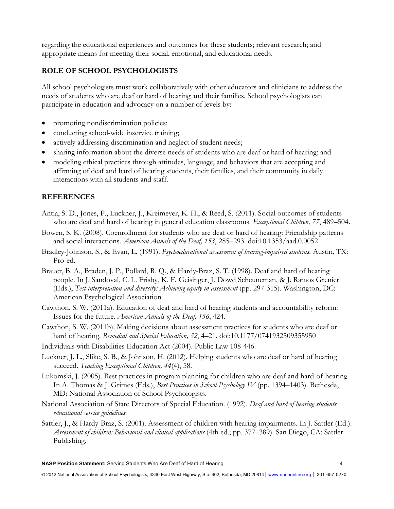regarding the educational experiences and outcomes for these students; relevant research; and appropriate means for meeting their social, emotional, and educational needs.

#### **ROLE OF SCHOOL PSYCHOLOGISTS**

All school psychologists must work collaboratively with other educators and clinicians to address the needs of students who are deaf or hard of hearing and their families. School psychologists can participate in education and advocacy on a number of levels by:

- promoting nondiscrimination policies;
- conducting school-wide inservice training;
- actively addressing discrimination and neglect of student needs;
- sharing information about the diverse needs of students who are deaf or hard of hearing; and
- modeling ethical practices through attitudes, language, and behaviors that are accepting and affirming of deaf and hard of hearing students, their families, and their community in daily interactions with all students and staff.

#### **REFERENCES**

- Antia, S. D., Jones, P., Luckner, J., Kreimeyer, K. H., & Reed, S. (2011). Social outcomes of students who are deaf and hard of hearing in general education classrooms. *Exceptional Children, 77*, 489–504.
- Bowen, S. K. (2008). Coenrollment for students who are deaf or hard of hearing: Friendship patterns and social interactions. *American Annals of the Deaf, 153*, 285–293. doi:10.1353/aad.0.0052
- Bradley-Johnson, S., & Evan, L. (1991). *Psychoeducational assessment of hearing-impaired students.* Austin, TX: Pro-ed.
- Brauer, B. A., Braden, J. P., Pollard, R. Q., & Hardy-Braz, S. T. (1998). Deaf and hard of hearing people. In J. Sandoval, C. L. Frisby, K. F. Geisinger, J. Dowd Scheuneman, & J. Ramos Grenier (Eds.), *Test interpretation and diversity: Achieving equity in assessment* (pp. 297-315). Washington, DC: American Psychological Association.
- Cawthon. S. W. (2011a). Education of deaf and hard of hearing students and accountability reform: Issues for the future. *American Annals of the Deaf, 156*, 424.
- Cawthon, S. W. (2011b). Making decisions about assessment practices for students who are deaf or hard of hearing. *Remedial and Special Education, 32*, 4–21. doi:10.1177/0741932509355950
- Individuals with Disabilities Education Act (2004). Public Law 108-446.
- Luckner, J. L., Slike, S. B., & Johnson, H. (2012). Helping students who are deaf or hard of hearing succeed. *Teaching Exceptional Children, 44*(4), 58.
- Lukomski, J. (2005). Best practices in program planning for children who are deaf and hard-of-hearing. In A. Thomas & J. Grimes (Eds.), *Best Practices in School Psychology IV* (pp. 1394–1403). Bethesda, MD: National Association of School Psychologists.
- National Association of State Directors of Special Education. (1992). *Deaf and hard of hearing students educational service guidelines.*
- Sattler, J., & Hardy-Braz, S. (2001). Assessment of children with hearing impairments. In J. Sattler (Ed.). *Assessment of children: Behavioral and clinical applications* (4th ed.; pp. 377–389). San Diego, CA: Sattler Publishing.

© 2012 National Association of School Psychologists, 4340 East West Highway, Ste. 402, Bethesda, MD 20814 | www.nasponline.org | 301-657-0270